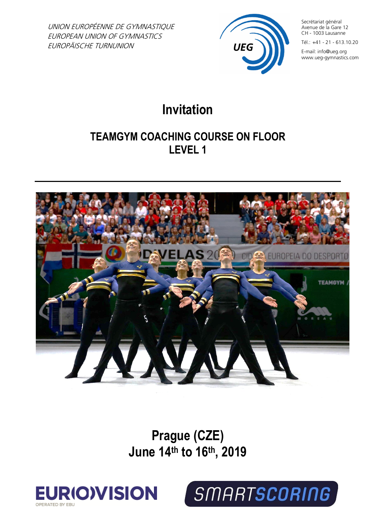UNION EUROPÉENNE DE GYMNASTIQUE EUROPEAN UNION OF GYMNASTICS EUROPÄISCHE TURNUNION



Secrétariat général Avenue de la Gare 12 CH - 1003 Lausanne

Tél.: +41 - 21 - 613.10.20

E-mail: info@ueg.org www.ueg-gymnastics.com

# **Invitation**

## **TEAMGYM COACHING COURSE ON FLOOR LEVEL 1**



**Prague (CZE) June 14th to 16th , 2019**



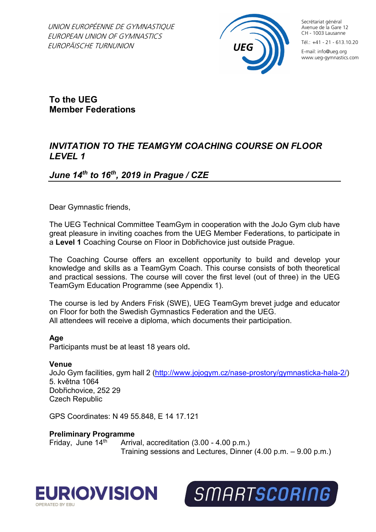UNION EUROPÉENNE DE GYMNASTIQUE EUROPEAN UNION OF GYMNASTICS EUROPÄISCHE TURNUNION



Secrétariat général Avenue de la Gare 12 CH - 1003 Lausanne

Tél.: +41 - 21 - 613.10.20

E-mail: info@ueg.org www.ueg-gymnastics.com

**To the UEG Member Federations**

## *INVITATION TO THE TEAMGYM COACHING COURSE ON FLOOR LEVEL 1*

## *June 14th to 16th, 2019 in Prague / CZE*

Dear Gymnastic friends,

The UEG Technical Committee TeamGym in cooperation with the JoJo Gym club have great pleasure in inviting coaches from the UEG Member Federations, to participate in a **Level 1** Coaching Course on Floor in Dobřichovice just outside Prague.

The Coaching Course offers an excellent opportunity to build and develop your knowledge and skills as a TeamGym Coach. This course consists of both theoretical and practical sessions. The course will cover the first level (out of three) in the UEG TeamGym Education Programme (see Appendix 1).

The course is led by Anders Frisk (SWE), UEG TeamGym brevet judge and educator on Floor for both the Swedish Gymnastics Federation and the UEG. All attendees will receive a diploma, which documents their participation.

#### **Age**

Participants must be at least 18 years old**.**

#### **Venue**

JoJo Gym facilities, gym hall 2 [\(http://www.jojogym.cz/nase-prostory/gymnasticka-hala-2/\)](http://www.jojogym.cz/nase-prostory/gymnasticka-hala-2/) 5. května 1064 Dobřichovice, 252 29 Czech Republic

GPS Coordinates: N 49 55.848, E 14 17.121

**Preliminary Programme**

Friday, June  $14<sup>th</sup>$  Arrival, accreditation (3.00 - 4.00 p.m.) Training sessions and Lectures, Dinner (4.00 p.m. – 9.00 p.m.)



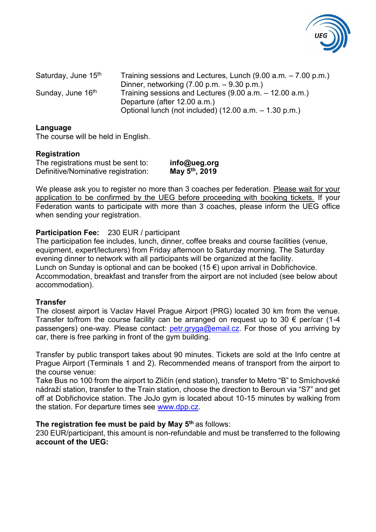

Saturday, June  $15<sup>th</sup>$  Training sessions and Lectures, Lunch (9.00 a.m.  $-7.00$  p.m.) Dinner, networking (7.00 p.m. – 9.30 p.m.) Sunday, June  $16<sup>th</sup>$  Training sessions and Lectures (9.00 a.m. – 12.00 a.m.) Departure (after 12.00 a.m.) Optional lunch (not included) (12.00 a.m. – 1.30 p.m.)

#### **Language**

The course will be held in English.

#### **Registration**

The registrations must be sent to: **info@ueg.org Definitive/Nominative registration:** 

**th, 2019**

We please ask you to register no more than 3 coaches per federation. Please wait for your application to be confirmed by the UEG before proceeding with booking tickets. If your Federation wants to participate with more than 3 coaches, please inform the UEG office when sending your registration.

#### **Participation Fee:** 230 EUR / participant

The participation fee includes, lunch, dinner, coffee breaks and course facilities (venue, equipment, expert/lecturers) from Friday afternoon to Saturday morning. The Saturday evening dinner to network with all participants will be organized at the facility. Lunch on Sunday is optional and can be booked (15 €) upon arrival in Dobřichovice. Accommodation, breakfast and transfer from the airport are not included (see below about accommodation).

#### **Transfer**

The closest airport is Vaclav Havel Prague Airport (PRG) located 30 km from the venue. Transfer to/from the course facility can be arranged on request up to 30  $\epsilon$  per/car (1-4 passengers) one-way. Please contact: [petr.gryga@email.cz.](mailto:petr.gryga@email.cz) For those of you arriving by car, there is free parking in front of the gym building.

Transfer by public transport takes about 90 minutes. Tickets are sold at the Info centre at Prague Airport (Terminals 1 and 2). Recommended means of transport from the airport to the course venue:

Take Bus no 100 from the airport to Zličín (end station), transfer to Metro "B" to Smíchovské nádraží station, transfer to the Train station, choose the direction to Beroun via "S7" and get off at Dobřichovice station. The JoJo gym is located about 10-15 minutes by walking from the station. For departure times see [www.dpp.cz.](http://www.dpp.cz/)

#### **The registration fee must be paid by May 5 th** as follows:

230 EUR/participant, this amount is non-refundable and must be transferred to the following **account of the UEG:**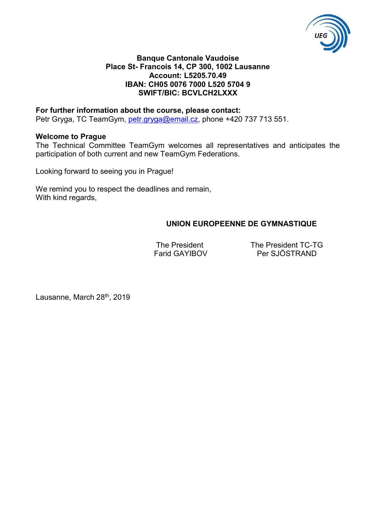

#### **Banque Cantonale Vaudoise Place St- Francois 14, CP 300, 1002 Lausanne Account: L5205.70.49 IBAN: CH05 0076 7000 L520 5704 9 SWIFT/BIC: BCVLCH2LXXX**

#### **For further information about the course, please contact:**

Petr Gryga, TC TeamGym, [petr.gryga@email.cz,](mailto:petr.gryga@email.cz) phone +420 737 713 551.

#### **Welcome to Prague**

The Technical Committee TeamGym welcomes all representatives and anticipates the participation of both current and new TeamGym Federations.

Looking forward to seeing you in Prague!

We remind you to respect the deadlines and remain, With kind regards,

#### **UNION EUROPEENNE DE GYMNASTIQUE**

The President The President TC-TG Farid GAYIBOV Per SJÖSTRAND

Lausanne, March 28<sup>th</sup>, 2019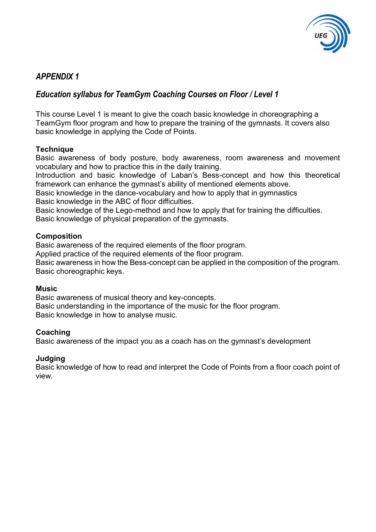

## *APPENDIX 1*

## *Education syllabus for TeamGym Coaching Courses on Floor / Level 1*

This course Level 1 is meant to give the coach basic knowledge in choreographing a TeamGym floor program and how to prepare the training of the gymnasts. It covers also basic knowledge in applying the Code of Points.

#### **Technique**

Basic awareness of body posture, body awareness, room awareness and movement vocabulary and how to practice this in the daily training.

Introduction and basic knowledge of Laban's Bess-concept and how this theoretical framework can enhance the gymnast's ability of mentioned elements above.

Basic knowledge in the dance-vocabulary and how to apply that in gymnastics Basic knowledge in the ABC of floor difficulties.

Basic knowledge of the Lego-method and how to apply that for training the difficulties. Basic knowledge of physical preparation of the gymnasts.

#### **Composition**

Basic awareness of the required elements of the floor program.

Applied practice of the required elements of the floor program.

Basic awareness in how the Bess-concept can be applied in the composition of the program. Basic choreographic keys.

#### **Music**

Basic awareness of musical theory and key-concepts. Basic understanding in the importance of the music for the floor program. Basic knowledge in how to analyse music.

#### **Coaching**

Basic awareness of the impact you as a coach has on the gymnast's development

#### **Judging**

Basic knowledge of how to read and interpret the Code of Points from a floor coach point of view.